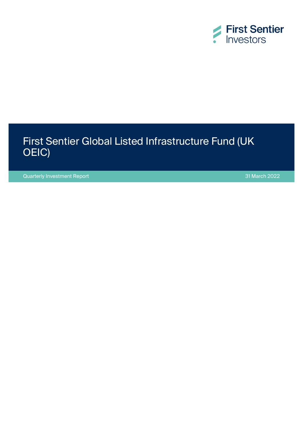

## First Sentier Global Listed Infrastructure Fund (UK OEIC)

Quarterly Investment Report 31 March 2022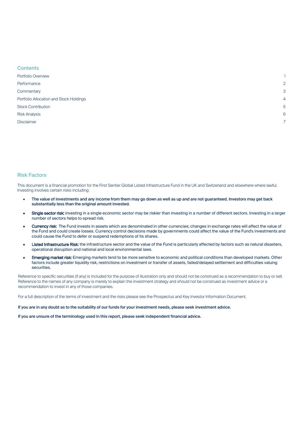| <b>Contents</b>                         |                |
|-----------------------------------------|----------------|
| Portfolio Overview                      |                |
| Performance                             | $\overline{2}$ |
| Commentary                              | 3              |
| Portfolio Allocation and Stock Holdings | $\overline{4}$ |
| <b>Stock Contribution</b>               | 5              |
| <b>Risk Analysis</b>                    | 6              |
| <b>Disclaimer</b>                       | 7              |
|                                         |                |

### Risk Factors

This document is a financial promotion for the First Sentier Global Listed Infrastructure Fund in the UK and Switzerland and elsewhere where lawful. Investing involves certain risks including:

- The value of investments and any income from them may go down as well as up and are not guaranteed. Investors may get back substantially less than the original amount invested.
- Single sector risk: investing in a single economic sector may be riskier than investing in a number of different sectors. Investing in a larger number of sectors helps to spread risk.
- Currency risk: The Fund invests in assets which are denominated in other currencies; changes in exchange rates will affect the value of the Fund and could create losses. Currency control decisions made by governments could affect the value of the Fund's investments and could cause the Fund to defer or suspend redemptions of its shares.
- Listed Infrastructure Risk: the infrastructure sector and the value of the Fund is particularly affected by factors such as natural disasters, operational disruption and national and local environmental laws.
- Emerging market risk: Emerging markets tend to be more sensitive to economic and political conditions than developed markets. Other factors include greater liquidity risk, restrictions on investment or transfer of assets, failed/delayed settlement and difficulties valuing **securities**

Reference to specific securities (if any) is included for the purpose of illustration only and should not be construed as a recommendation to buy or sell. Reference to the names of any company is merely to explain the investment strategy and should not be construed as investment advice or a recommendation to invest in any of those companies.

For a full description of the terms of investment and the risks please see the Prospectus and Key Investor Information Document.

If you are in any doubt as to the suitability of our funds for your investment needs, please seek investment advice.

If you are unsure of the terminology used in this report, please seek independent financial advice.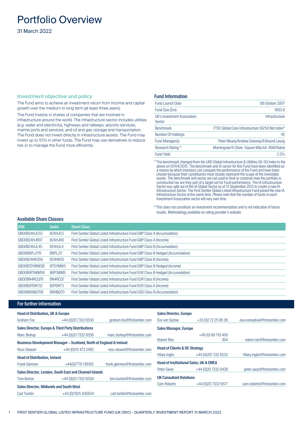## <span id="page-2-0"></span>Portfolio Overview

31 March 2022

### Investment objective and policy

The Fund aims to achieve an investment return from income and capital growth over the medium to long term (at least three years).

The Fund invests in shares of companies that are involved in infrastructure around the world. The infrastructure sector includes utilities (e.g. water and electricity), highways and railways, airports services, marine ports and services, and oil and gas storage and transportation. The Fund does not invest directly in infrastructure assets. The Fund may invest up to 10% in other funds. The Fund may use derivatives to reduce risk or to manage the Fund more efficiently.

### Fund Information

| <b>Fund Launch Date</b>               | 08 October 2007                                  |
|---------------------------------------|--------------------------------------------------|
| Fund Size (£m)                        | 1693.6                                           |
| UK's Investment Association<br>Sector | Infrastructure                                   |
| <b>Benchmark</b>                      | FTSE Global Core Infrastructure 50/50 Net Index* |
| Number Of Holdings                    | 45                                               |
| Fund Manager(s)                       | Peter Meany/Andrew Greenup/Edmund Leung          |
| Research Rating ^                     | Morningstar®: Silver Square Mile: AA RSM: Rated  |
| <b>Fund Yield</b>                     | 2.5%                                             |

\* The benchmark changed from the UBS Global Infrastructure & Utilities 50-50 Index to the above on 01/04/2015. The benchmark and IA sector for this Fund have been identified as a means by which investors can compare the performance of the Fund and have been chosen because their constituents most closely represent the scope of the investable assets. The benchmark and sector are not used to limit or constrain how the portfolio is constructed nor are they part of a target set for Fund performance. The IA Infrastructure Sector was split out of the IA Global Sector as of 13 September 2021 to create a new IA Infrastructure Sector. The First Sentier Global Listed Infrastructure Fund joined the new IA Infrastructure Sector at the same time. Please note that the number of funds in each Investment Association sector will vary over time.

^This does not constitute an investment recommendation and is not indicative of future results. Methodology available on rating provider's website.

### Available Share Classes

| <b>ISIN</b>  | <b>Sedol</b>                     | <b>Share Class</b>                                                                |
|--------------|----------------------------------|-----------------------------------------------------------------------------------|
| GB00B24HJC53 | B <sub>24</sub> HJC <sub>5</sub> | First Sentier Global Listed Infrastructure Fund GBP Class A (Accumulation)        |
| GB00B24HJR07 | B <sub>24</sub> HJRO             | First Sentier Global Listed Infrastructure Fund GBP Class A (Income)              |
| GB00B24HJL45 | B <sub>24</sub> HJL4             | First Sentier Global Listed Infrastructure Fund GBP Class B (Accumulation)        |
| GB00B8PLJ176 | B8PLJ17                          | First Sentier Global Listed Infrastructure Fund GBP Class B Hedged (Accumulation) |
| GB00B24HK556 | <b>B24HK55</b>                   | First Sentier Global Listed Infrastructure Fund GBP Class B (Income)              |
| GB00B7DYMW38 | B7DYMW3                          | First Sentier Global Listed Infrastructure Fund GBP Class B Hedged (Income)       |
| GB00B8P3WM58 | B8P3WM5                          | First Sentier Global Listed Infrastructure Fund EUR Class B Hedged (Accumulation) |
| GB00BN4RC078 | BN4RCO7                          | First Sentier Global Listed Infrastructure Fund EUR Class B (Income)              |
| GB00B2PDR732 | B <sub>2</sub> PDR <sub>73</sub> | First Sentier Global Listed Infrastructure Fund EUR Class A (Income)              |
| GB00B8HBQ708 | B8HB070                          | First Sentier Global Listed Infrastructure Fund USD Class B (Accumulation)        |

### For further information

| <b>Head of Distribution, UK &amp; Europe</b>   |                                                                     |                                | <b>Sales Director, Europe</b>            |                                                   |                                |
|------------------------------------------------|---------------------------------------------------------------------|--------------------------------|------------------------------------------|---------------------------------------------------|--------------------------------|
| Graham Fox                                     | +44 (0) 20 7332 6530                                                | graham.fox@firstsentier.com    | Eva von Sydow                            | +33 (0) 172 25 66 36                              | eva.vonsydow@firstsentier.com  |
|                                                | Sales Director, Europe & Third Party Distributions                  |                                | <b>Sales Manager, Europe</b>             |                                                   |                                |
| Marc Bishop                                    | +44 (0) 20 7332 6556                                                | marc.bishop@firstsentier.com   |                                          | +49 (0) 69 710 456                                |                                |
|                                                | Business Development Manager - Scotland, North of England & Ireland |                                | <b>Robert Retz</b>                       | 304                                               | robert.retz@firstsentier.com   |
| <b>Ross Stewart</b>                            | +44 (0)131 473 2482                                                 | ross.stewart@firstsentier.com  | <b>Head of Clients &amp; DC Strategy</b> |                                                   |                                |
| <b>Head of Distribution, Ireland</b>           |                                                                     |                                | Hilary Inglis                            | +44 (0) 207 332 6533                              | Hilary.Inglis@firstsentier.com |
| <b>Frank Glennon</b>                           | +44(0)7776 138105                                                   | frank.glennon@firstsentier.com |                                          | <b>Head of Institutional Sales, UK &amp; EMEA</b> |                                |
|                                                | Sales Director, London, South East and Channel Islands              |                                | Peter Swan                               | +44 (0) 20 7332 9428                              | peter.swan@firstsentier.com    |
| <b>Tom Burton</b>                              | +44 (0) 20 7332 6559                                                | tom.burton@firstsentier.com    | <b>UK Consultant Relations</b>           |                                                   |                                |
| <b>Sales Director, Midlands and South West</b> |                                                                     |                                | Sam Roberts                              | +44 (0) 20 7332 6577                              | sam.roberts@firstsentier.com   |
| Carl Tomlin                                    | +44 (0) 7825 935634                                                 | carl.tomlin@firstsentier.com   |                                          |                                                   |                                |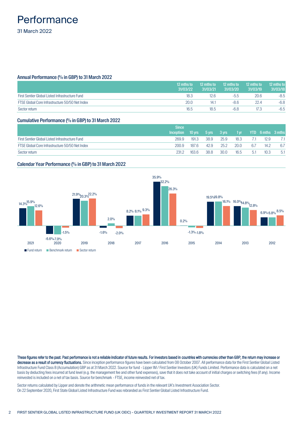## <span id="page-3-0"></span>**Performance** 31 March 2022

### Annual Performance (% in GBP) to 31 March 2022

|                                                 | 12 mths to<br>31/03/22 | 12 mths to<br>31/03/21 | 12 mths to<br>31/03/20 | 12 mths to<br>31/03/19 | 12 mths to.<br>31/03/18 |
|-------------------------------------------------|------------------------|------------------------|------------------------|------------------------|-------------------------|
| First Sentier Global Listed Infrastructure Fund | 18.3                   | 12.6                   | $-5.5$                 | 20.6                   | -8.5                    |
| FTSE Global Core Infrastructure 50/50 Net Index | 20.0                   | 14.                    | -8.6                   | 22.4                   | $-6.8$                  |
| Sector return                                   | 16.5                   | 18.5                   | -6.8                   | 17.3                   | $-6.5$                  |

### Cumulative Performance (% in GBP) to 31 March 2022

|                                                 | <b>Since</b>     |                |             |      |               |        |                            |     |
|-------------------------------------------------|------------------|----------------|-------------|------|---------------|--------|----------------------------|-----|
|                                                 | <b>Inception</b> | 10 $\gamma$ rs | 5 yrs 3 yrs |      | $1 \text{yr}$ |        | <b>THE STAR STAR STARS</b> |     |
| First Sentier Global Listed Infrastructure Fund | 269.9            | 191.3          | 38.9        | 25.9 | 18.3          |        | 12.9                       |     |
| FTSE Global Core Infrastructure 50/50 Net Index | 200.9            | 187.6          | 42.9        | 25.2 | 20.0          | 6.7    | 14.2                       | 6.7 |
| Sector return                                   | 231.2            | 163.6          | 38.8        | 30.0 | 16.5          | $-5.1$ | 10.3                       | 5.1 |

### Calendar Year Performance (% in GBP) to 31 March 2022



These figures refer to the past. Past performance is not a reliable indicator of future results. For investors based in countries with currencies other than GBP, the return may increase or decrease as a result of currency fluctuations. Since inception performance figures have been calculated from 08 October 2007. All performance data for the First Sentier Global Listed Infrastructure Fund Class B (Accumulation) GBP as at 31 March 2022. Source for fund - Lipper IM / First Sentier Investors (UK) Funds Limited. Performance data is calculated on a net basis by deducting fees incurred at fund level (e.g. the management fee and other fund expenses), save that it does not take account of initial charges or switching fees (if any). Income reinvested is included on a net of tax basis. Source for benchmark - FTSE, income reinvested net of tax.

Sector returns calculated by Lipper and denote the arithmetic mean performance of funds in the relevant UK's Investment Association Sector. On 22 September 2020, First State Global Listed Infrastructure Fund was rebranded as First Sentier Global Listed Infrastructure Fund.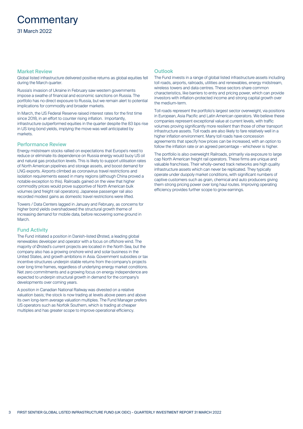## <span id="page-4-0"></span>**Commentary**

### Market Review

Global listed infrastructure delivered positive returns as global equities fell during the March quarter.

Russia's invasion of Ukraine in February saw western governments impose a swathe of financial and economic sanctions on Russia. The portfolio has no direct exposure to Russia, but we remain alert to potential implications for commodity and broader markets.

In March, the US Federal Reserve raised interest rates for the first time since 2018, in an effort to counter rising inflation. Importantly, infrastructure outperformed equities in the quarter despite the 83 bps rise in US long bond yields, implying the move was well anticipated by markets

### Performance Review

Energy midstream stocks rallied on expectations that Europe's need to reduce or eliminate its dependence on Russia energy would buoy US oil and natural gas production levels. This is likely to support utilisation rates of North American pipelines and storage assets, and boost demand for LNG exports. Airports climbed as coronavirus travel restrictions and isolation requirements eased in many regions (although China proved a notable exception to this). Railroads gained on the view that higher commodity prices would prove supportive of North American bulk volumes (and freight rail operators). Japanese passenger rail also recorded modest gains as domestic travel restrictions were lifted.

Towers / Data Centers lagged in January and February, as concerns for higher bond yields overshadowed the structural growth theme of increasing demand for mobile data, before recovering some ground in **March** 

### Fund Activity

The Fund initiated a position in Danish-listed Ørsted, a leading global renewables developer and operator with a focus on offshore wind. The majority of Ørsted's current projects are located in the North Sea, but the company also has a growing onshore wind and solar business in the United States, and growth ambitions in Asia. Government subsidies or tax incentive structures underpin stable returns from the company's projects over long time frames, regardless of underlying energy market conditions. Net zero commitments and a growing focus on energy independence are expected to underpin structural growth in demand for the company's developments over coming years.

A position in Canadian National Railway was divested on a relative valuation basis; the stock is now trading at levels above peers and above its own long-term average valuation multiples. The Fund Manager prefers US operators such as Norfolk Southern, which is trading at cheaper multiples and has greater scope to improve operational efficiency.

### **Outlook**

The Fund invests in a range of global listed infrastructure assets including toll roads, airports, railroads, utilities and renewables, energy midstream, wireless towers and data centres. These sectors share common characteristics, like barriers to entry and pricing power, which can provide investors with inflation-protected income and strong capital growth over the medium-term.

Toll roads represent the portfolio's largest sector overweight, via positions in European, Asia Pacific and Latin American operators. We believe these companies represent exceptional value at current levels, with traffic volumes proving significantly more resilient than those of other transport infrastructure assets. Toll roads are also likely to fare relatively well in a higher inflation environment. Many toll roads have concession agreements that specify how prices can be increased, with an option to follow the inflation rate or an agreed percentage – whichever is higher.

The portfolio is also overweight Railroads, primarily via exposure to large cap North American freight rail operators. These firms are unique and valuable franchises. Their wholly-owned track networks are high quality infrastructure assets which can never be replicated. They typically operate under duopoly market conditions, with significant numbers of captive customers such as grain, chemical and auto producers giving them strong pricing power over long haul routes. Improving operating efficiency provides further scope to grow earnings.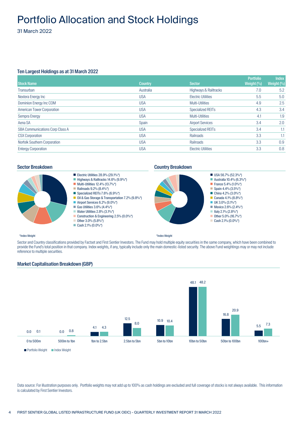## <span id="page-5-0"></span>Portfolio Allocation and Stock Holdings

31 March 2022

### Ten Largest Holdings as at 31 March 2022

| <b>Stock Name</b>                   | <b>Country</b> | <b>Sector</b>             | <b>Portfolio</b><br>Weight $\left(\frac{0}{0}\right)$ | <b>Index</b><br>Weight $(%)$ |
|-------------------------------------|----------------|---------------------------|-------------------------------------------------------|------------------------------|
| Transurban                          | Australia      | Highways & Railtracks     | 7.0                                                   | 5.2                          |
| Nextera Energy Inc                  | <b>USA</b>     | <b>Electric Utilities</b> | 5.5                                                   | 5.0                          |
| Dominion Energy Inc COM             | <b>USA</b>     | Multi-Utilities           | 4.9                                                   | 2.5                          |
| <b>American Tower Corporation</b>   | <b>USA</b>     | <b>Specialized REITs</b>  | 4.3                                                   | 3.4                          |
| Sempra Energy                       | <b>USA</b>     | Multi-Utilities           | 4.1                                                   | 1.9                          |
| Aena SA                             | Spain          | <b>Airport Services</b>   | 3.4                                                   | 2.0                          |
| SBA Communications Corp Class A     | <b>USA</b>     | <b>Specialized REITs</b>  | 3.4                                                   | 1.1                          |
| <b>CSX Corporation</b>              | <b>USA</b>     | Railroads                 | 3.3                                                   | 1.1                          |
| <b>Norfolk Southern Corporation</b> | <b>USA</b>     | Railroads                 | 3.3                                                   | 0.9                          |
| <b>Entergy Corporation</b>          | <b>USA</b>     | <b>Electric Utilities</b> | 3.3                                                   | 0.8                          |



- Electric Utilities  $28.9\%$  (29.1%\*)
- Highways & Railtracks 14.6% (9.9%\*)
- **Multi-Utilities 12.4% (13.7%\*)**
- Railroads  $9.2% (8.4%^{*})$
- Specialized REITs  $7.6\%$  (6.9%\*) Oil & Gas Storage & Transportation 7.2% (9.8%\*)
- Airport Services 6.2% (9.0%\*)
- Gas Utilities  $3.6%$   $(4.4%^*)$
- Water Utilities  $2.8\%$   $(3.1\%^*)$
- Construction & Engineering 2.5% (0.0%\*)
- Other  $3.0\%$  (5.8%\*)
- Cash 2.1%  $(0.0\%*)$

### Sector Breakdown **Country Breakdown Country Breakdown**



### \*Index Weight

\*Index Weight

Sector and Country classifications provided by Factset and First Sentier Investors. The Fund may hold multiple equity securities in the same company, which have been combined to provide the Fund's total position in that company. Index weights, if any, typically include only the main domestic-listed security. The above Fund weightings may or may not include reference to multiple securities.



Market Capitalisation Breakdown (GBP)

Data source: For illustration purposes only. Portfolio weights may not add up to 100% as cash holdings are excluded and full coverage of stocks is not always available. This information is calculated by First Sentier Investors.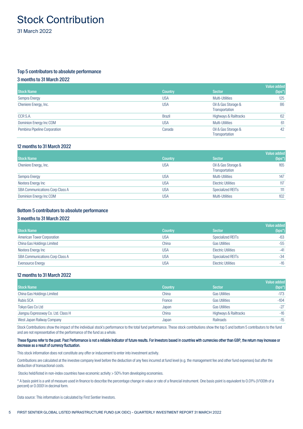## <span id="page-6-0"></span>Stock Contribution

31 March 2022

### Top 5 contributors to absolute performance

### 3 months to 31 March 2022

| <b>Stock Name</b>            | <b>Country</b> | <b>Sector</b>                         | Value added<br>(bps*) |
|------------------------------|----------------|---------------------------------------|-----------------------|
| Sempra Energy                | <b>USA</b>     | Multi-Utilities                       | 125                   |
| Cheniere Energy, Inc.        | <b>USA</b>     | Oil & Gas Storage &<br>Transportation | 86                    |
| CCR S.A.                     | <b>Brazil</b>  | Highways & Railtracks                 | 62                    |
| Dominion Energy Inc COM      | <b>USA</b>     | Multi-Utilities                       | 61                    |
| Pembina Pipeline Corporation | Canada         | Oil & Gas Storage &<br>Transportation | 42                    |

### 12 months to 31 March 2022

| <b>Stock Name</b>               | <b>Country</b> | <b>Sector</b>                         | Value added<br>$(bps^*)$ |
|---------------------------------|----------------|---------------------------------------|--------------------------|
| Cheniere Energy, Inc.           | <b>USA</b>     | Oil & Gas Storage &<br>Transportation | 165                      |
| Sempra Energy                   | USA            | Multi-Utilities                       | 147                      |
| Nextera Energy Inc              | USA            | <b>Electric Utilities</b>             | 117                      |
| SBA Communications Corp Class A | <b>USA</b>     | <b>Specialized REITs</b>              | 111                      |
| Dominion Energy Inc COM         | USA            | <b>Multi-Utilities</b>                | 102                      |

### Bottom 5 contributors to absolute performance

### 3 months to 31 March 2022

|                                        |                |                           | Value added |
|----------------------------------------|----------------|---------------------------|-------------|
| <b>Stock Name</b>                      | <b>Country</b> | <b>Sector</b>             | $(bps^*)$   |
| <b>American Tower Corporation</b>      | <b>USA</b>     | <b>Specialized REITs</b>  | $-63$       |
| China Gas Holdings Limited             | China          | <b>Gas Utilities</b>      | $-55$       |
| Nextera Energy Inc                     | <b>USA</b>     | <b>Electric Utilities</b> | $-41$       |
| <b>SBA Communications Corp Class A</b> | USA            | <b>Specialized REITs</b>  | $-34$       |
| Eversource Energy                      | <b>USA</b>     | <b>Electric Utilities</b> | $-16$       |

### 12 months to 31 March 2022

| <b>Stock Name</b>                   | <b>Country</b> | <b>Sector</b>         | Value added<br>$(bps^*)$ |
|-------------------------------------|----------------|-----------------------|--------------------------|
| China Gas Holdings Limited          | China          | <b>Gas Utilities</b>  | $-173$                   |
| <b>Rubis SCA</b>                    | France         | <b>Gas Utilities</b>  | $-104$                   |
| Tokyo Gas Co Ltd                    | Japan          | <b>Gas Utilities</b>  | $-27$                    |
| Jiangsu Expressway Co. Ltd. Class H | China          | Highways & Railtracks | $-16$                    |
| West Japan Railway Company          | Japan          | Railroads             | $-15$                    |

Stock Contributions show the impact of the individual stock's performance to the total fund performance. These stock contributions show the top 5 and bottom 5 contributors to the fund and are not representative of the performance of the fund as a whole.

### These figures refer to the past. Past Performance is not a reliable indicator of future results. For investors based in countries with currencies other than GBP, the return may increase or decrease as a result of currency fluctuation.

This stock information does not constitute any offer or inducement to enter into investment activity.

Contributions are calculated at the investee company level before the deduction of any fees incurred at fund level (e.g. the management fee and other fund expenses) but after the deduction of transactional costs.

Stocks held/listed in non-index countries have economic activity > 50% from developing economies.

\* A basis point is a unit of measure used in finance to describe the percentage change in value or rate of a financial instrument. One basis point is equivalent to 0.01% (1/100th of a percent) or 0.0001 in decimal form.

Data source: This information is calculated by First Sentier Investors.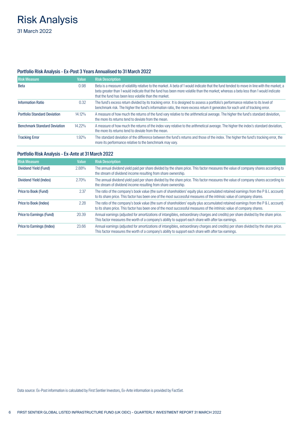# <span id="page-7-0"></span>Risk Analysis

31 March 2022

### Portfolio Risk Analysis - Ex-Post 3 Years Annualised to 31 March 2022

| <b>Risk Measure</b>                 | Value     | <b>Risk Description</b>                                                                                                                                                                                                                                                                                                                   |
|-------------------------------------|-----------|-------------------------------------------------------------------------------------------------------------------------------------------------------------------------------------------------------------------------------------------------------------------------------------------------------------------------------------------|
| Beta                                | 0.98      | Beta is a measure of volatility relative to the market. A beta of 1 would indicate that the fund tended to move in line with the market; a<br>beta greater than 1 would indicate that the fund has been more volatile than the market; whereas a beta less than 1 would indicate<br>that the fund has been less volatile than the market. |
| <b>Information Ratio</b>            | 0.32      | The fund's excess return divided by its tracking error. It is designed to assess a portfolio's performance relative to its level of<br>benchmark risk. The higher the fund's information ratio, the more excess return it generates for each unit of tracking error.                                                                      |
| <b>Portfolio Standard Deviation</b> | $14.12\%$ | A measure of how much the returns of the fund vary relative to the arithmetical average. The higher the fund's standard deviation,<br>the more its returns tend to deviate from the mean.                                                                                                                                                 |
| <b>Benchmark Standard Deviation</b> | $14.22\%$ | A measure of how much the returns of the index vary relative to the arithmetical average. The higher the index's standard deviation,<br>the more its returns tend to deviate from the mean.                                                                                                                                               |
| <b>Tracking Error</b>               | 1.92%     | The standard deviation of the difference between the fund's returns and those of the index. The higher the fund's tracking error, the<br>more its performance relative to the benchmark may vary.                                                                                                                                         |

### Portfolio Risk Analysis - Ex-Ante at 31 March 2022

| <b>Risk Measure</b>       | <b>Value</b> | <b>Risk Description</b>                                                                                                                                                                                                                                     |
|---------------------------|--------------|-------------------------------------------------------------------------------------------------------------------------------------------------------------------------------------------------------------------------------------------------------------|
| Dividend Yield (Fund)     | 2.88%        | The annual dividend yield paid per share divided by the share price. This factor measures the value of company shares according to<br>the stream of dividend income resulting from share ownership.                                                         |
| Dividend Yield (Index)    | 2.70%        | The annual dividend yield paid per share divided by the share price. This factor measures the value of company shares according to<br>the stream of dividend income resulting from share ownership.                                                         |
| Price to Book (Fund)      | 2.37         | The ratio of the company's book value (the sum of shareholders' equity plus accumulated retained earnings from the P & L account)<br>to its share price. This factor has been one of the most successful measures of the intrinsic value of company shares. |
| Price to Book (Index)     | 2.28         | The ratio of the company's book value (the sum of shareholders' equity plus accumulated retained earnings from the P & L account)<br>to its share price. This factor has been one of the most successful measures of the intrinsic value of company shares. |
| Price to Earnings (Fund)  | 20.39        | Annual earnings (adjusted for amortizations of intangibles, extraordinary charges and credits) per share divided by the share price.<br>This factor measures the worth of a company's ability to support each share with after tax earnings.                |
| Price to Earnings (Index) | 23.66        | Annual earnings (adjusted for amortizations of intangibles, extraordinary charges and credits) per share divided by the share price.<br>This factor measures the worth of a company's ability to support each share with after tax earnings.                |

Data source: Ex-Post information is calculated by First Sentier Investors, Ex-Ante information is provided by FactSet.